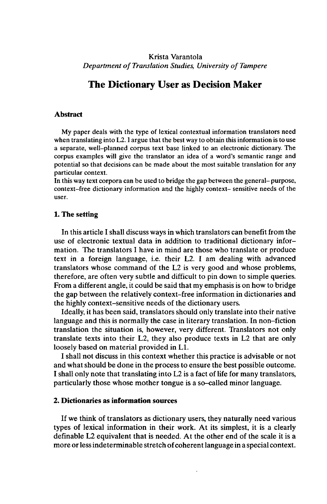## Krista Varantola *Department of Translation Studies, University of Tampere*

# **The Dictionary User as Decision Maker**

#### **Abstract**

My paper deals with the type of lexical contextual information translators need when translating into L2. I argue that the best way to obtain this information is to use a separate, well-planned corpus text base linked to an electronic dictionary. The corpus examples will give the translator an idea of a word's semantic range and potential so that decisions can be made about the most suitable translation for any particular context.

In this way text corpora can be used to bridge the gap between the general- purpose, context-free dictionary information and the highly context- sensitive needs of the user.

#### **1. The setting**

**In** this article I shall discuss ways in which translators can benefit from the use of electronic textual data in addition to traditional dictionary information. The translators I have in mind are those who translate or produce text in a foreign language, i.e. their L2. I am dealing with advanced translators whose command of the L2 is very good and whose problems, therefore, are often very subtle and difficult to pin down to simple queries. From a different angle, it could be said that my emphasis is on how to bridge the gap between the relatively context-free information in dictionaries and the highly context-sensitive needs of the dictionary users.

Ideally, it has been said, translators should only translate into their native language and this is normally the case in literary translation. In non-fiction translation the situation is, however, very different. Translators not only translate texts into their L2, they also produce texts in L2 that are only loosely based on material provided in LI.

I shall not discuss in this context whether this practice is advisable or not and what should be done in the process to ensure the best possible outcome. I shall only note that translating into L2 is a fact of life for many translators, particularly those whose mother tongue is a so-called minor language.

## **2. Dictionaries as information sources**

If we think of translators as dictionary users, they naturally need various types of lexical information in their work. At its simplest, it is a clearly definable L2 equivalent that is needed. At the other end of the scale it is a more or less indeterminable stretch of coherent language in a special context.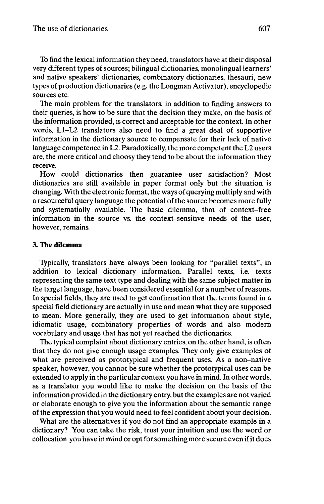To find the lexical information they need, translators have at their disposal very different types of sources; bilingual dictionaries, monolingual learners' and native speakers' dictionaries, combinatory dictionaries, thesauri, new types of production dictionaries (e.g. the Longman Activator), encyclopedic sources etc.

The main problem for the translators, in addition to finding answers to their queries, is how to be sure that the decision they make, on the basis of the information provided, is correct and acceptable for the context. In other words, L1-L2 translators also need to find a great deal of supportive information in the dictionary source to compensate for their lack of native language competence in L2. Paradoxically, the more competent the L2 users are, the more critical and choosy they tend to be about the information they receive.

How could dictionaries then guarantee user satisfaction? Most dictionaries are still available in paper format only but the situation is changing. With the electronic format, the ways of querying multiply and with a resourceful query language the potential of the source becomes more fully and systematially available. The basic dilemma, that of context-free information in the source vs. the context-sensitive needs of the user, however, remains.

#### **3. The dilemma**

Typically, translators have always been looking for "parallel texts", in addition to lexical dictionary information. Parallel texts, i.e. texts representing the same text type and dealing with the same subject matter in the target language, have been considered essential for a number of reasons. In special fields, they are used to get confirmation that the terms found in a special field dictionary are actually in use and mean what they are supposed to mean. More generally, they are used to get information about style, idiomatic usage, combinatory properties of words and also modern vocabulary and usage that has not yet reached the dictionaries.

The typical complaint about dictionary entries, on the other hand, is often that they do not give enough usage examples. They only give examples of what are perceived as prototypical and frequent uses. As a non-native speaker, however, you cannot be sure whether the prototypical uses can be extended to apply in the particular context you have in mind. In other words, as a translator you would like to make the decision on the basis of the information provided in the dictionary entry, but the examples are not varied or elaborate enough to give you the information about the semantic range of the expression that you would need to feel confident about your decision.

What are the alternatives if you do not find an appropriate example in a dictionary? You can take the risk, trust your intuition and use the word or collocation you have in mind or opt forsomething more secure even ifit does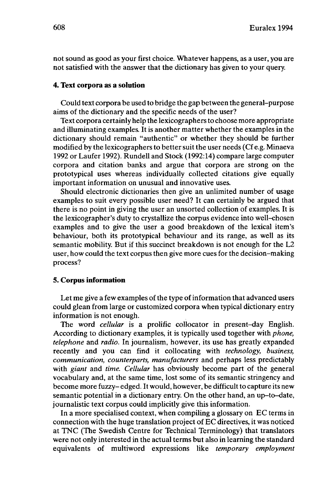not sound as good as your first choice. Whatever happens, as a user, you are not satisfied with the answer that the dictionary has given to your query.

#### **4. Text corpora as a solution**

Could text corpora be used to bridge the gap between the general-purpose aims of the dictionary and the specific needs of the user?

Text corpora certainly help the lexicographers to choose more appropriate and illuminating examples. It is another matter whether the examples in the dictionary should remain "authentic" or whether they should be further modified by the lexicographers to better suit the user needs (Cf e.g. Minaeva 1992 or Laufer 1992). Rundell and Stock (1992:14) compare large computer corpora and citation banks and argue that corpora are strong on the prototypical uses whereas individually collected citations give equally important information on unusual and innovative uses.

Should electronic dictionaries then give an unlimited number of usage examples to suit every possible user need? It can certainly be argued that there is no point in giving the user an unsorted collection of examples. It is the lexicographer's duty to crystallize the corpus evidence into well-chosen examples and to give the user a good breakdown of the lexical item's behaviour, both its prototypical behaviour and its range, as well as its semantic mobility. But if this succinct breakdown is not enough for the L2 user, how could the text corpusthen give more cues for the decision-making process?

#### **5. Corpus information**

Let me give a few examples of the type of information that advanced users could glean from large or customized corpora when typical dictionary entry information is not enough.

The word *cellular* is a prolific collocator in present-day English. According to dictionary examples, it is typically used together with *phone, telephone* and *radio.* In journalism, however, its use has greatly expanded recently and you can find it collocating with *technology, business, communication, counterparts, manufacturers* and perhaps less predictably with *giant* and *time. Cellular* has obviously become part of the general vocabulary and, at the same time, lost some of its semantic stringency and become more fuzzy-edged. It would, however, be difficult to capture its new semantic potential in a dictionary entry. On the other hand, an up-to-date, journalistic text corpus could implicitly give this information.

In a more specialised context, when compiling a glossary on EC terms in connection with the huge translation project of EC directives, it was noticed at TNC (The Swedish Centre for Technical Terminology) that translators were not only interested in the actual terms but also in learning the standard equivalents of multiword expressions like *temporary employment*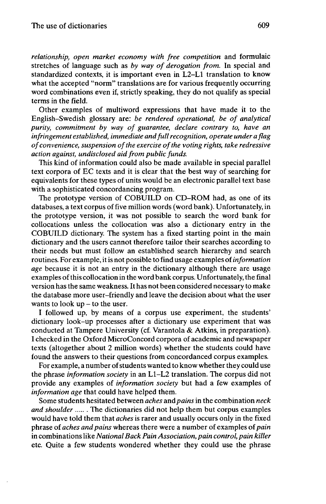*relationship, open market economy with free competition* and formulaic stretches of language such as *by way of derogation from.* In special and standardized contexts, it is important even in L2-L1 translation to know what the accepted "norm" translations are for various frequently occurring word combinations even if, strictly speaking, they do not qualify as special terms in the field.

Other examples of multiword expressions that have made it to the English-Swedish glossary are: *be rendered operational, be of analytical purity, commitment by way of guarantee, declare contrary to, have an infringement established, immediate andfullrecognition, operate under a flag ofconvenience, suspension ofthe exercise ofthe voting rights, take redressive action against, undisclosed aid from public funds.*

This kind of information could also be made available in special parallel text corpora of EC texts and it is clear that the best way of searching for equivalents for these types of units would be an electronic parallel text base with a sophisticated concordancing program.

The prototype version of COBUILD on CD-ROM had, as one of its databases, a text corpus of five million words (word bank). Unfortunately, in the prototype version, it was not possible to search the word bank for collocations unless the collocation was also a dictionary entry in the COBUILD dictionary. The system has a fixed starting point in the main dictionary and the users cannot therefore tailor their searches according to their needs but must follow an established search hierarchy and search routines. For example, itis not possible to find usage examples of*information age* because it is not an entry in the dictionary although there are usage examples ofthis collocation in the word bank corpus. Unfortunately, the final version has the same weakness. It has not been considered necessary to make the database more user-friendly and leave the decision about what the user wants to look  $up$  – to the user.

I followed up, by means of a corpus use experiment, the students' dictionary look-up processes after a dictionary use experiment that was conducted at Tampere University (cf. Varantola & Atkins, in preparation). I checked in the Oxford MicroConcord corpora of academic and newspaper texts (altogether about 2 million words) whether the students could have found the answers to their questions from concordanced corpus examples.

For example, a number ofstudents wanted to know whether they could use the phrase *information society* in an L1-L2 translation. The corpus did not provide any examples of *information society* but had a few examples of *information age* that could have helped them.

Some students hesitated between *aches* and *pains* in the combination *neck and shoulder* ...... The dictionaries did not help them but corpus examples would have told them that *aches* is rarer and usually occurs only in the fixed phrase of *aches and pains* whereas there were a number of examples of*pain* in combinationslike *NationalBack Pain Association, pain control, pain killer* etc. Quite a few students wondered whether they could use the phrase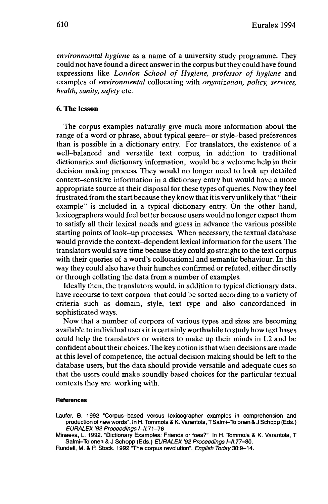*environmental hygiene* as a name of a university study programme. They could not have found a direct answer in the corpus butthey could have found expressions like *London School of Hygiene, professor of hygiene* and examples of *environmental* collocating with *organization, policy, services, health, sanity, safety* etc.

## **6. The lesson**

The corpus examples naturally give much more information about the range of a word or phrase, about typical genre- or style-based preferences than is possible in a dictionary entry. For translators, the existence of a well-balanced and versatile text corpus, in addition to traditional dictionaries and dictionary information, would be a welcome help in their decision making process. They would no longer need to look up detailed context-sensitive information in a dictionary entry but would have a more appropriate source at their disposal for these types of queries. Now they feel frustrated from the start because they know that it is very unlikely that "their example" is included in a typical dictionary entry. On the other hand, lexicographers would feel better because users would no longer expect them to satisfy all their lexical needs and guess in advance the various possible starting points of look-up processes. When necessary, the textual database would provide the context-dependent lexical information for the users. The translators would save time because they could go straight to the text corpus with their queries of a word's collocational and semantic behaviour. In this way they could also have their hunches confirmed or refuted, either directly or through collating the data from a number of examples.

Ideally then, the translators would, in addition to typical dictionary data, have recourse to text corpora that could be sorted according to a variety of criteria such as domain, style, text type and also concordanced in sophisticated ways.

Now that a number of corpora of various types and sizes are becoming available to individual users it is certainly worthwhile to study how text bases could help the translators or writers to make up their minds in L2 and be confident about their choices. The key notion is that when decisions are made at this level of competence, the actual decision making should be left to the database users, but the data should provide versatile and adequate cues so that the users could make soundly based choices for the particular textual contexts they are working with.

#### **References**

Laufer, B. 1992 "Corpus-based versus lexicographer examples in comprehension and production of new words". In H. Tommola & K. Varantola, T Salmi-Tolonen & J Schopp (Eds.) EURALEX '92 Proceedings /-//:71-76

Minaeva, L. 1992. "Dictionary Examples: Friends or foes?" In H. Tommola & K. Varantola, T Salmi-Tolonen & J Schopp (Eds.) EURALEX '92 Proceedings I-II:77-80.

Rundell, M. & P. Stock. 1992 The corpus revolution". English Today 30:9-14.